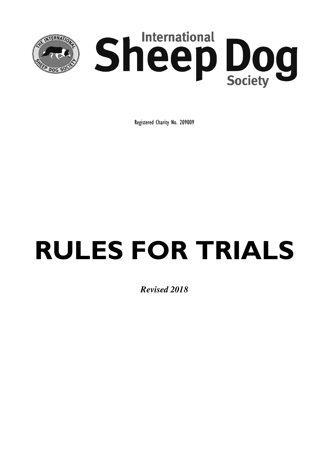

Registered Charity No. 209009

# **RULES FOR TRIALS**

*Revised 2018*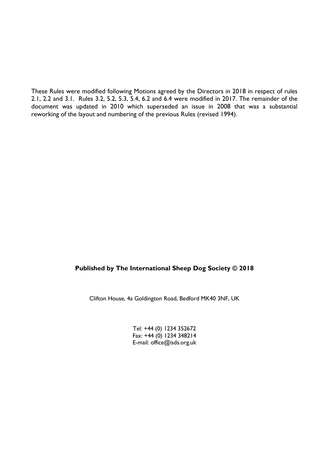These Rules were modified following Motions agreed by the Directors in 2018 in respect of rules 2.1, 2.2 and 3.1. Rules 3.2, 5.2, 5.3, 5.4, 6.2 and 6.4 were modified in 2017. The remainder of the document was updated in 2010 which superseded an issue in 2008 that was a substantial reworking of the layout and numbering of the previous Rules (revised 1994).

#### **Published by The International Sheep Dog Society © 2018**

Clifton House, 4a Goldington Road, Bedford MK40 3NF, UK

Tel: +44 (0) 1234 352672 Fax: +44 (0) 1234 348214 E-mail: office@isds.org.uk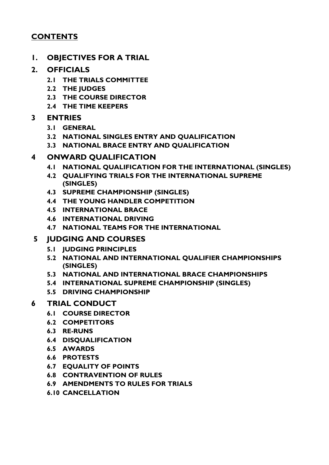# **CONTENTS**

**1. OBJECTIVES FOR A TRIAL**

# **2. OFFICIALS**

- **2.1 THE TRIALS COMMITTEE**
- **2.2 THE JUDGES**
- **2.3 THE COURSE DIRECTOR**
- **2.4 THE TIME KEEPERS**

# **3 ENTRIES**

- **3.1 GENERAL**
- **3.2 NATIONAL SINGLES ENTRY AND QUALIFICATION**
- **3.3 NATIONAL BRACE ENTRY AND QUALIFICATION**

# **4 ONWARD QUALIFICATION**

- **4.1 NATIONAL QUALIFICATION FOR THE INTERNATIONAL (SINGLES)**
- **4.2 QUALIFYING TRIALS FOR THE INTERNATIONAL SUPREME (SINGLES)**
- **4.3 SUPREME CHAMPIONSHIP (SINGLES)**
- **4.4 THE YOUNG HANDLER COMPETITION**
- **4.5 INTERNATIONAL BRACE**
- **4.6 INTERNATIONAL DRIVING**
- **4.7 NATIONAL TEAMS FOR THE INTERNATIONAL**

# **5 JUDGING AND COURSES**

- **5.1 JUDGING PRINCIPLES**
- **5.2 NATIONAL AND INTERNATIONAL QUALIFIER CHAMPIONSHIPS (SINGLES)**
- **5.3 NATIONAL AND INTERNATIONAL BRACE CHAMPIONSHIPS**
- **5.4 INTERNATIONAL SUPREME CHAMPIONSHIP (SINGLES)**
- **5.5 DRIVING CHAMPIONSHIP**

# **6 TRIAL CONDUCT**

- **6.1 COURSE DIRECTOR**
- **6.2 COMPETITORS**
- **6.3 RE-RUNS**
- **6.4 DISQUALIFICATION**
- **6.5 AWARDS**
- **6.6 PROTESTS**
- **6.7 EQUALITY OF POINTS**
- **6.8 CONTRAVENTION OF RULES**
- **6.9 AMENDMENTS TO RULES FOR TRIALS**
- **6.10 CANCELLATION**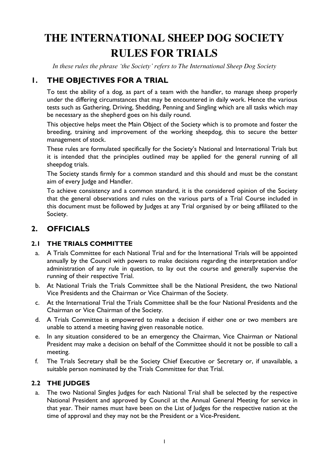# **THE INTERNATIONAL SHEEP DOG SOCIETY RULES FOR TRIALS**

*In these rules the phrase 'the Society' refers to The International Sheep Dog Society*

# **1. THE OBJECTIVES FOR A TRIAL**

To test the ability of a dog, as part of a team with the handler, to manage sheep properly under the differing circumstances that may be encountered in daily work. Hence the various tests such as Gathering, Driving, Shedding, Penning and Singling which are all tasks which may be necessary as the shepherd goes on his daily round.

This objective helps meet the Main Object of the Society which is to promote and foster the breeding, training and improvement of the working sheepdog, this to secure the better management of stock.

These rules are formulated specifically for the Society's National and International Trials but it is intended that the principles outlined may be applied for the general running of all sheepdog trials.

The Society stands firmly for a common standard and this should and must be the constant aim of every Judge and Handler.

To achieve consistency and a common standard, it is the considered opinion of the Society that the general observations and rules on the various parts of a Trial Course included in this document must be followed by Judges at any Trial organised by or being affiliated to the Society.

# **2. OFFICIALS**

#### **2.1 THE TRIALS COMMITTEE**

- a. A Trials Committee for each National Trial and for the International Trials will be appointed annually by the Council with powers to make decisions regarding the interpretation and/or administration of any rule in question, to lay out the course and generally supervise the running of their respective Trial.
- b. At National Trials the Trials Committee shall be the National President, the two National Vice Presidents and the Chairman or Vice Chairman of the Society.
- c. At the International Trial the Trials Committee shall be the four National Presidents and the Chairman or Vice Chairman of the Society.
- d. A Trials Committee is empowered to make a decision if either one or two members are unable to attend a meeting having given reasonable notice.
- e. In any situation considered to be an emergency the Chairman, Vice Chairman or National President may make a decision on behalf of the Committee should it not be possible to call a meeting.
- f. The Trials Secretary shall be the Society Chief Executive or Secretary or, if unavailable, a suitable person nominated by the Trials Committee for that Trial.

# **2.2 THE JUDGES**

a. The two National Singles Judges for each National Trial shall be selected by the respective National President and approved by Council at the Annual General Meeting for service in that year. Their names must have been on the List of Judges for the respective nation at the time of approval and they may not be the President or a Vice-President.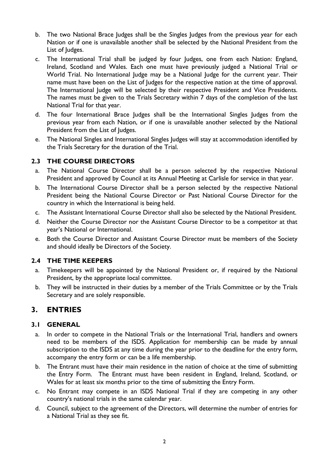- b. The two National Brace Judges shall be the Singles Judges from the previous year for each Nation or if one is unavailable another shall be selected by the National President from the List of Judges.
- c. The International Trial shall be judged by four Judges, one from each Nation: England, Ireland, Scotland and Wales. Each one must have previously judged a National Trial or World Trial. No International Judge may be a National Judge for the current year. Their name must have been on the List of Judges for the respective nation at the time of approval. The International Judge will be selected by their respective President and Vice Presidents. The names must be given to the Trials Secretary within 7 days of the completion of the last National Trial for that year.
- d. The four International Brace Judges shall be the International Singles Judges from the previous year from each Nation, or if one is unavailable another selected by the National President from the List of Judges.
- e. The National Singles and International Singles Judges will stay at accommodation identified by the Trials Secretary for the duration of the Trial.

#### **2.3 THE COURSE DIRECTORS**

- a. The National Course Director shall be a person selected by the respective National President and approved by Council at its Annual Meeting at Carlisle for service in that year.
- b. The International Course Director shall be a person selected by the respective National President being the National Course Director or Past National Course Director for the country in which the International is being held.
- c. The Assistant International Course Director shall also be selected by the National President.
- d. Neither the Course Director nor the Assistant Course Director to be a competitor at that year's National or International.
- e. Both the Course Director and Assistant Course Director must be members of the Society and should ideally be Directors of the Society.

#### **2.4 THE TIME KEEPERS**

- a. Timekeepers will be appointed by the National President or, if required by the National President, by the appropriate local committee.
- b. They will be instructed in their duties by a member of the Trials Committee or by the Trials Secretary and are solely responsible.

# **3. ENTRIES**

#### **3.1 GENERAL**

- a. In order to compete in the National Trials or the International Trial, handlers and owners need to be members of the ISDS. Application for membership can be made by annual subscription to the ISDS at any time during the year prior to the deadline for the entry form, accompany the entry form or can be a life membership.
- b. The Entrant must have their main residence in the nation of choice at the time of submitting the Entry Form. The Entrant must have been resident in England, Ireland, Scotland, or Wales for at least six months prior to the time of submitting the Entry Form.
- c. No Entrant may compete in an ISDS National Trial if they are competing in any other country's national trials in the same calendar year.
- d. Council, subject to the agreement of the Directors, will determine the number of entries for a National Trial as they see fit.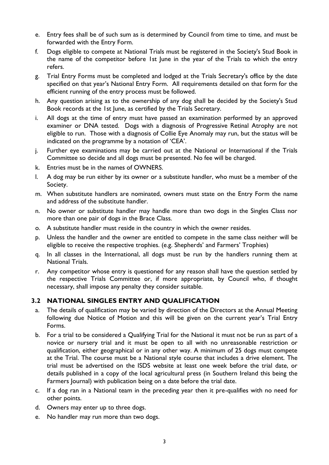- e. Entry fees shall be of such sum as is determined by Council from time to time, and must be forwarded with the Entry Form.
- f. Dogs eligible to compete at National Trials must be registered in the Society's Stud Book in the name of the competitor before 1st June in the year of the Trials to which the entry refers.
- g. Trial Entry Forms must be completed and lodged at the Trials Secretary's office by the date specified on that year's National Entry Form. All requirements detailed on that form for the efficient running of the entry process must be followed.
- h. Any question arising as to the ownership of any dog shall be decided by the Society's Stud Book records at the 1st June, as certified by the Trials Secretary.
- i. All dogs at the time of entry must have passed an examination performed by an approved examiner or DNA tested. Dogs with a diagnosis of Progressive Retinal Atrophy are not eligible to run. Those with a diagnosis of Collie Eye Anomaly may run, but the status will be indicated on the programme by a notation of 'CEA'.
- j. Further eye examinations may be carried out at the National or International if the Trials Committee so decide and all dogs must be presented. No fee will be charged.
- k. Entries must be in the names of OWNERS.
- l. A dog may be run either by its owner or a substitute handler, who must be a member of the Society.
- m. When substitute handlers are nominated, owners must state on the Entry Form the name and address of the substitute handler.
- n. No owner or substitute handler may handle more than two dogs in the Singles Class nor more than one pair of dogs in the Brace Class.
- o. A substitute handler must reside in the country in which the owner resides.
- p. Unless the handler and the owner are entitled to compete in the same class neither will be eligible to receive the respective trophies. (e.g. Shepherds' and Farmers' Trophies)
- q. In all classes in the International, all dogs must be run by the handlers running them at National Trials.
- r. Any competitor whose entry is questioned for any reason shall have the question settled by the respective Trials Committee or, if more appropriate, by Council who, if thought necessary, shall impose any penalty they consider suitable.

# **3.2 NATIONAL SINGLES ENTRY AND QUALIFICATION**

- a. The details of qualification may be varied by direction of the Directors at the Annual Meeting following due Notice of Motion and this will be given on the current year's Trial Entry Forms.
- b. For a trial to be considered a Qualifying Trial for the National it must not be run as part of a novice or nursery trial and it must be open to all with no unreasonable restriction or qualification, either geographical or in any other way. A minimum of 25 dogs must compete at the Trial. The course must be a National style course that includes a drive element. The trial must be advertised on the ISDS website at least one week before the trial date, or details published in a copy of the local agricultural press (in Southern Ireland this being the Farmers Journal) with publication being on a date before the trial date.
- c. If a dog ran in a National team in the preceding year then it pre-qualifies with no need for other points.
- d. Owners may enter up to three dogs.
- e. No handler may run more than two dogs.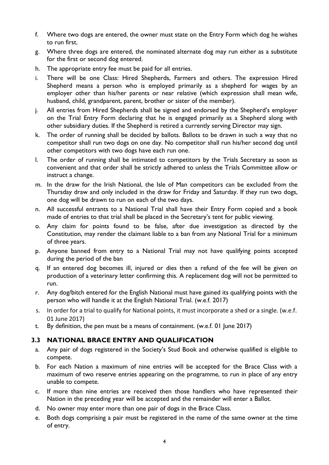- f. Where two dogs are entered, the owner must state on the Entry Form which dog he wishes to run first.
- g. Where three dogs are entered, the nominated alternate dog may run either as a substitute for the first or second dog entered.
- h. The appropriate entry fee must be paid for all entries.
- i. There will be one Class: Hired Shepherds, Farmers and others. The expression Hired Shepherd means a person who is employed primarily as a shepherd for wages by an employer other than his/her parents or near relative (which expression shall mean wife, husband, child, grandparent, parent, brother or sister of the member).
- j. All entries from Hired Shepherds shall be signed and endorsed by the Shepherd's employer on the Trial Entry Form declaring that he is engaged primarily as a Shepherd along with other subsidiary duties. If the Shepherd is retired a currently serving Director may sign.
- k. The order of running shall be decided by ballots. Ballots to be drawn in such a way that no competitor shall run two dogs on one day. No competitor shall run his/her second dog until other competitors with two dogs have each run one.
- l. The order of running shall be intimated to competitors by the Trials Secretary as soon as convenient and that order shall be strictly adhered to unless the Trials Committee allow or instruct a change.
- m. In the draw for the Irish National, the Isle of Man competitors can be excluded from the Thursday draw and only included in the draw for Friday and Saturday. If they run two dogs, one dog will be drawn to run on each of the two days.
- n. All successful entrants to a National Trial shall have their Entry Form copied and a book made of entries to that trial shall be placed in the Secretary's tent for public viewing.
- o. Any claim for points found to be false, after due investigation as directed by the Constitution, may render the claimant liable to a ban from any National Trial for a minimum of three years.
- p. Anyone banned from entry to a National Trial may not have qualifying points accepted during the period of the ban
- q. If an entered dog becomes ill, injured or dies then a refund of the fee will be given on production of a veterinary letter confirming this. A replacement dog will not be permitted to run.
- r. Any dog/bitch entered for the English National must have gained its qualifying points with the person who will handle it at the English National Trial. (w.e.f. 2017)
- s. In order for a trial to qualify for National points, it must incorporate a shed or a single. (w.e.f. 01 June 2017)
- t. By definition, the pen must be a means of containment. (w.e.f. 01 June 2017)

#### **3.3 NATIONAL BRACE ENTRY AND QUALIFICATION**

- a. Any pair of dogs registered in the Society's Stud Book and otherwise qualified is eligible to compete.
- b. For each Nation a maximum of nine entries will be accepted for the Brace Class with a maximum of two reserve entries appearing on the programme, to run in place of any entry unable to compete.
- c. If more than nine entries are received then those handlers who have represented their Nation in the preceding year will be accepted and the remainder will enter a Ballot.
- d. No owner may enter more than one pair of dogs in the Brace Class.
- e. Both dogs comprising a pair must be registered in the name of the same owner at the time of entry.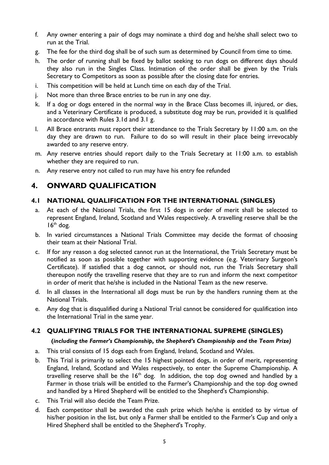- f. Any owner entering a pair of dogs may nominate a third dog and he/she shall select two to run at the Trial.
- g. The fee for the third dog shall be of such sum as determined by Council from time to time.
- h. The order of running shall be fixed by ballot seeking to run dogs on different days should they also run in the Singles Class. Intimation of the order shall be given by the Trials Secretary to Competitors as soon as possible after the closing date for entries.
- i. This competition will be held at Lunch time on each day of the Trial.
- j. Not more than three Brace entries to be run in any one day.
- k. If a dog or dogs entered in the normal way in the Brace Class becomes ill, injured, or dies, and a Veterinary Certificate is produced, a substitute dog may be run, provided it is qualified in accordance with Rules 3.1d and 3.1 g.
- l. All Brace entrants must report their attendance to the Trials Secretary by 11:00 a.m. on the day they are drawn to run. Failure to do so will result in their place being irrevocably awarded to any reserve entry.
- m. Any reserve entries should report daily to the Trials Secretary at 11:00 a.m. to establish whether they are required to run.
- n. Any reserve entry not called to run may have his entry fee refunded

# **4. ONWARD QUALIFICATION**

#### **4.1 NATIONAL QUALIFICATION FOR THE INTERNATIONAL (SINGLES)**

- a. At each of the National Trials, the first 15 dogs in order of merit shall be selected to represent England, Ireland, Scotland and Wales respectively. A travelling reserve shall be the  $16<sup>th</sup>$  dog.
- b. In varied circumstances a National Trials Committee may decide the format of choosing their team at their National Trial.
- c. If for any reason a dog selected cannot run at the International, the Trials Secretary must be notified as soon as possible together with supporting evidence (e.g. Veterinary Surgeon's Certificate). If satisfied that a dog cannot, or should not, run the Trials Secretary shall thereupon notify the travelling reserve that they are to run and inform the next competitor in order of merit that he/she is included in the National Team as the new reserve.
- d. In all classes in the International all dogs must be run by the handlers running them at the National Trials.
- e. Any dog that is disqualified during a National Trial cannot be considered for qualification into the International Trial in the same year.

# **4.2 QUALIFYING TRIALS FOR THE INTERNATIONAL SUPREME (SINGLES)**

#### **(***including the Farmer's Championship, the Shepherd's Championship and the Team Prize)*

- a. This trial consists of 15 dogs each from England, Ireland, Scotland and Wales.
- b. This Trial is primarily to select the 15 highest pointed dogs, in order of merit, representing England, Ireland, Scotland and Wales respectively, to enter the Supreme Championship. A travelling reserve shall be the  $16<sup>th</sup>$  dog. In addition, the top dog owned and handled by a Farmer in those trials will be entitled to the Farmer's Championship and the top dog owned and handled by a Hired Shepherd will be entitled to the Shepherd's Championship.
- c. This Trial will also decide the Team Prize.
- d. Each competitor shall be awarded the cash prize which he/she is entitled to by virtue of his/her position in the list, but only a Farmer shall be entitled to the Farmer's Cup and only a Hired Shepherd shall be entitled to the Shepherd's Trophy.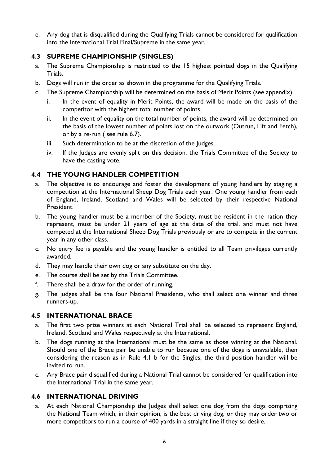e. Any dog that is disqualified during the Qualifying Trials cannot be considered for qualification into the International Trial Final/Supreme in the same year.

#### **4.3 SUPREME CHAMPIONSHIP (SINGLES)**

- a. The Supreme Championship is restricted to the 15 highest pointed dogs in the Qualifying Trials.
- b. Dogs will run in the order as shown in the programme for the Qualifying Trials.
- c. The Supreme Championship will be determined on the basis of Merit Points (see appendix).
	- i. In the event of equality in Merit Points, the award will be made on the basis of the competitor with the highest total number of points.
	- ii. In the event of equality on the total number of points, the award will be determined on the basis of the lowest number of points lost on the outwork (Outrun, Lift and Fetch), or by a re-run ( see rule 6.7).
	- iii. Such determination to be at the discretion of the Judges.
	- iv. If the Judges are evenly split on this decision, the Trials Committee of the Society to have the casting vote.

#### **4.4 THE YOUNG HANDLER COMPETITION**

- a. The objective is to encourage and foster the development of young handlers by staging a competition at the International Sheep Dog Trials each year. One young handler from each of England, Ireland, Scotland and Wales will be selected by their respective National President.
- b. The young handler must be a member of the Society, must be resident in the nation they represent, must be under 21 years of age at the date of the trial, and must not have competed at the International Sheep Dog Trials previously or are to compete in the current year in any other class.
- c. No entry fee is payable and the young handler is entitled to all Team privileges currently awarded.
- d. They may handle their own dog or any substitute on the day.
- e. The course shall be set by the Trials Committee.
- f. There shall be a draw for the order of running.
- g. The judges shall be the four National Presidents, who shall select one winner and three runners-up.

#### **4.5 INTERNATIONAL BRACE**

- a. The first two prize winners at each National Trial shall be selected to represent England, Ireland, Scotland and Wales respectively at the International.
- b. The dogs running at the International must be the same as those winning at the National. Should one of the Brace pair be unable to run because one of the dogs is unavailable, then considering the reason as in Rule 4.1 b for the Singles, the third position handler will be invited to run.
- c. Any Brace pair disqualified during a National Trial cannot be considered for qualification into the International Trial in the same year.

#### **4.6 INTERNATIONAL DRIVING**

a. At each National Championship the Judges shall select one dog from the dogs comprising the National Team which, in their opinion, is the best driving dog, or they may order two or more competitors to run a course of 400 yards in a straight line if they so desire.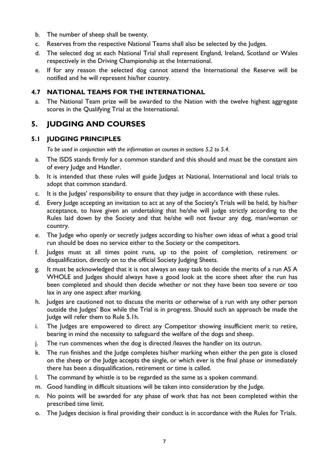- b. The number of sheep shall be twenty.
- c. Reserves from the respective National Teams shall also be selected by the Judges.
- d. The selected dog at each National Trial shall represent England, Ireland, Scotland or Wales respectively in the Driving Championship at the International.
- e. If for any reason the selected dog cannot attend the International the Reserve will be notified and he will represent his/her country.

#### **4.7 NATIONAL TEAMS FOR THE INTERNATIONAL**

a. The National Team prize will be awarded to the Nation with the twelve highest aggregate scores in the Qualifying Trial at the International.

# **5. JUDGING AND COURSES**

#### **5.1 JUDGING PRINCIPLES**

*To be used in conjunction with the information on courses in sections 5.2 to 5.4.*

- a. The ISDS stands firmly for a common standard and this should and must be the constant aim of every Judge and Handler.
- b. It is intended that these rules will guide Judges at National, International and local trials to adopt that common standard.
- c. It is the Judges' responsibility to ensure that they judge in accordance with these rules.
- d. Every Judge accepting an invitation to act at any of the Society's Trials will be held, by his/her acceptance, to have given an undertaking that he/she will judge strictly according to the Rules laid down by the Society and that he/she will not favour any dog, man/woman or country.
- e. The Judge who openly or secretly judges according to his/her own ideas of what a good trial run should be does no service either to the Society or the competitors.
- f. Judges must at all times point runs, up to the point of completion, retirement or disqualification, directly on to the official Society Judging Sheets.
- g. It must be acknowledged that it is not always an easy task to decide the merits of a run AS A WHOLE and Judges should always have a good look at the score sheet after the run has been completed and should then decide whether or not they have been too severe or too lax in any one aspect after marking.
- h. Judges are cautioned not to discuss the merits or otherwise of a run with any other person outside the Judges' Box while the Trial is in progress. Should such an approach be made the Judge will refer them to Rule 5.1h.
- i. The Judges are empowered to direct any Competitor showing insufficient merit to retire, bearing in mind the necessity to safeguard the welfare of the dogs and sheep.
- j. The run commences when the dog is directed /leaves the handler on its outrun.
- k. The run finishes and the Judge completes his/her marking when either the pen gate is closed on the sheep or the Judge accepts the single, or which ever is the final phase or immediately there has been a disqualification, retirement or time is called.
- l. The command by whistle is to be regarded as the same as a spoken command.
- m. Good handling in difficult situations will be taken into consideration by the Judge.
- n. No points will be awarded for any phase of work that has not been completed within the prescribed time limit.
- o. The Judges decision is final providing their conduct is in accordance with the Rules for Trials.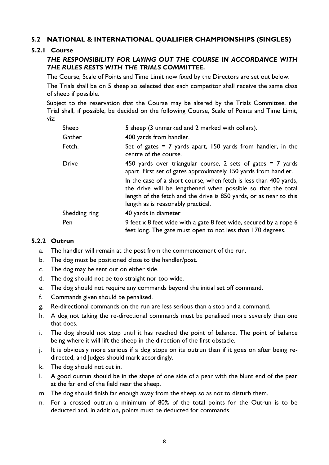#### **5.2 NATIONAL & INTERNATIONAL QUALIFIER CHAMPIONSHIPS (SINGLES)**

#### **5.2.1 Course**

#### *THE RESPONSIBILITY FOR LAYING OUT THE COURSE IN ACCORDANCE WITH THE RULES RESTS WITH THE TRIALS COMMITTEE.*

The Course, Scale of Points and Time Limit now fixed by the Directors are set out below.

The Trials shall be on 5 sheep so selected that each competitor shall receive the same class of sheep if possible.

Subject to the reservation that the Course may be altered by the Trials Committee, the Trial shall, if possible, be decided on the following Course, Scale of Points and Time Limit, viz:

| Sheep         | 5 sheep (3 unmarked and 2 marked with collars).                                                                                                                                                                                               |
|---------------|-----------------------------------------------------------------------------------------------------------------------------------------------------------------------------------------------------------------------------------------------|
| Gather        | 400 yards from handler.                                                                                                                                                                                                                       |
| Fetch.        | Set of gates $= 7$ yards apart, 150 yards from handler, in the<br>centre of the course.                                                                                                                                                       |
| <b>Drive</b>  | 450 yards over triangular course, 2 sets of gates $= 7$ yards<br>apart. First set of gates approximately 150 yards from handler.                                                                                                              |
|               | In the case of a short course, when fetch is less than 400 yards,<br>the drive will be lengthened when possible so that the total<br>length of the fetch and the drive is 850 yards, or as near to this<br>length as is reasonably practical. |
| Shedding ring | 40 yards in diameter                                                                                                                                                                                                                          |
| Pen           | 9 feet x 8 feet wide with a gate 8 feet wide, secured by a rope 6<br>feet long. The gate must open to not less than 170 degrees.                                                                                                              |

#### **5.2.2 Outrun**

- a. The handler will remain at the post from the commencement of the run.
- b. The dog must be positioned close to the handler/post.
- c. The dog may be sent out on either side.
- d. The dog should not be too straight nor too wide.
- e. The dog should not require any commands beyond the initial set off command.
- f. Commands given should be penalised.
- g. Re-directional commands on the run are less serious than a stop and a command.
- h. A dog not taking the re-directional commands must be penalised more severely than one that does.
- i. The dog should not stop until it has reached the point of balance. The point of balance being where it will lift the sheep in the direction of the first obstacle.
- j. It is obviously more serious if a dog stops on its outrun than if it goes on after being redirected, and Judges should mark accordingly.
- k. The dog should not cut in.
- l. A good outrun should be in the shape of one side of a pear with the blunt end of the pear at the far end of the field near the sheep.
- m. The dog should finish far enough away from the sheep so as not to disturb them.
- n. For a crossed outrun a minimum of 80% of the total points for the Outrun is to be deducted and, in addition, points must be deducted for commands.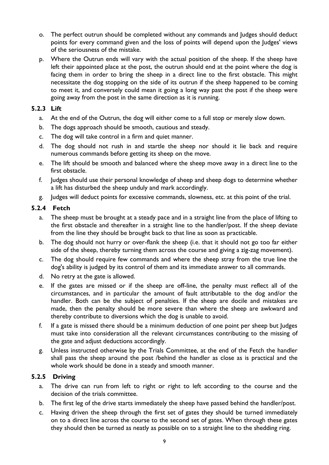- o. The perfect outrun should be completed without any commands and Judges should deduct points for every command given and the loss of points will depend upon the Judges' views of the seriousness of the mistake.
- p. Where the Outrun ends will vary with the actual position of the sheep. If the sheep have left their appointed place at the post, the outrun should end at the point where the dog is facing them in order to bring the sheep in a direct line to the first obstacle. This might necessitate the dog stopping on the side of its outrun if the sheep happened to be coming to meet it, and conversely could mean it going a long way past the post if the sheep were going away from the post in the same direction as it is running.

#### **5.2.3 Lift**

- a. At the end of the Outrun, the dog will either come to a full stop or merely slow down.
- b. The dogs approach should be smooth, cautious and steady.
- c. The dog will take control in a firm and quiet manner.
- d. The dog should not rush in and startle the sheep nor should it lie back and require numerous commands before getting its sheep on the move.
- e. The lift should be smooth and balanced where the sheep move away in a direct line to the first obstacle.
- f. Judges should use their personal knowledge of sheep and sheep dogs to determine whether a lift has disturbed the sheep unduly and mark accordingly.
- g. Judges will deduct points for excessive commands, slowness, etc. at this point of the trial.

#### **5.2.4 Fetch**

- a. The sheep must be brought at a steady pace and in a straight line from the place of lifting to the first obstacle and thereafter in a straight line to the handler/post. If the sheep deviate from the line they should be brought back to that line as soon as practicable.
- b. The dog should not hurry or over-flank the sheep (i.e. that it should not go too far either side of the sheep, thereby turning them across the course and giving a zig-zag movement).
- c. The dog should require few commands and where the sheep stray from the true line the dog's ability is judged by its control of them and its immediate answer to all commands.
- d. No retry at the gate is allowed.
- e. If the gates are missed or if the sheep are off-line, the penalty must reflect all of the circumstances, and in particular the amount of fault attributable to the dog and/or the handler. Both can be the subject of penalties. If the sheep are docile and mistakes are made, then the penalty should be more severe than where the sheep are awkward and thereby contribute to diversions which the dog is unable to avoid.
- f. If a gate is missed there should be a minimum deduction of one point per sheep but Judges must take into consideration all the relevant circumstances contributing to the missing of the gate and adjust deductions accordingly.
- g. Unless instructed otherwise by the Trials Committee, at the end of the Fetch the handler shall pass the sheep around the post /behind the handler as close as is practical and the whole work should be done in a steady and smooth manner.

#### **5.2.5 Driving**

- a. The drive can run from left to right or right to left according to the course and the decision of the trials committee.
- b. The first leg of the drive starts immediately the sheep have passed behind the handler/post.
- c. Having driven the sheep through the first set of gates they should be turned immediately on to a direct line across the course to the second set of gates. When through these gates they should then be turned as neatly as possible on to a straight line to the shedding ring.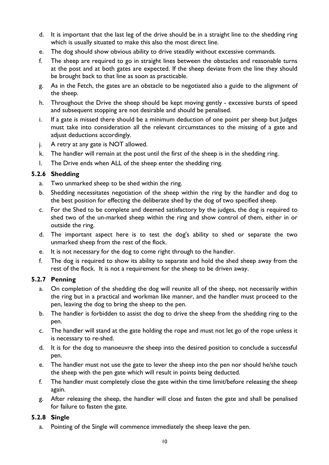- d. It is important that the last leg of the drive should be in a straight line to the shedding ring which is usually situated to make this also the most direct line.
- e. The dog should show obvious ability to drive steadily without excessive commands.
- f. The sheep are required to go in straight lines between the obstacles and reasonable turns at the post and at both gates are expected. If the sheep deviate from the line they should be brought back to that line as soon as practicable.
- g. As in the Fetch, the gates are an obstacle to be negotiated also a guide to the alignment of the sheep.
- h. Throughout the Drive the sheep should be kept moving gently excessive bursts of speed and subsequent stopping are not desirable and should be penalised.
- i. If a gate is missed there should be a minimum deduction of one point per sheep but Judges must take into consideration all the relevant circumstances to the missing of a gate and adjust deductions accordingly.
- j. A retry at any gate is NOT allowed.
- k. The handler will remain at the post until the first of the sheep is in the shedding ring.
- l. The Drive ends when ALL of the sheep enter the shedding ring.

#### **5.2.6 Shedding**

- a. Two unmarked sheep to be shed within the ring.
- b. Shedding necessitates negotiation of the sheep within the ring by the handler and dog to the best position for effecting the deliberate shed by the dog of two specified sheep.
- c. For the Shed to be complete and deemed satisfactory by the judges, the dog is required to shed two of the un-marked sheep within the ring and show control of them, either in or outside the ring.
- d. The important aspect here is to test the dog's ability to shed or separate the two unmarked sheep from the rest of the flock.
- e. It is not necessary for the dog to come right through to the handler.
- f. The dog is required to show its ability to separate and hold the shed sheep away from the rest of the flock. It is not a requirement for the sheep to be driven away.

#### **5.2.7 Penning**

- a. On completion of the shedding the dog will reunite all of the sheep, not necessarily within the ring but in a practical and workman like manner, and the handler must proceed to the pen, leaving the dog to bring the sheep to the pen.
- b. The handler is forbidden to assist the dog to drive the sheep from the shedding ring to the pen.
- c. The handler will stand at the gate holding the rope and must not let go of the rope unless it is necessary to re-shed.
- d. It is for the dog to manoeuvre the sheep into the desired position to conclude a successful pen.
- e. The handler must not use the gate to lever the sheep into the pen nor should he/she touch the sheep with the pen gate which will result in points being deducted.
- f. The handler must completely close the gate within the time limit/before releasing the sheep again.
- g. After releasing the sheep, the handler will close and fasten the gate and shall be penalised for failure to fasten the gate.

#### **5.2.8 Single**

a. Pointing of the Single will commence immediately the sheep leave the pen.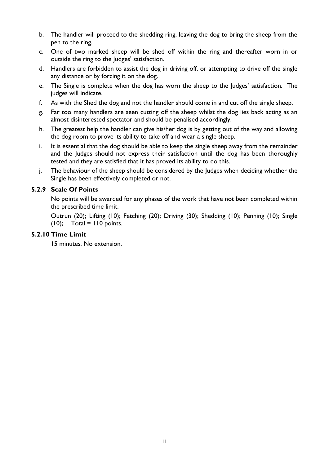- b. The handler will proceed to the shedding ring, leaving the dog to bring the sheep from the pen to the ring.
- c. One of two marked sheep will be shed off within the ring and thereafter worn in or outside the ring to the Judges' satisfaction.
- d. Handlers are forbidden to assist the dog in driving off, or attempting to drive off the single any distance or by forcing it on the dog.
- e. The Single is complete when the dog has worn the sheep to the Judges' satisfaction. The judges will indicate.
- f. As with the Shed the dog and not the handler should come in and cut off the single sheep.
- g. Far too many handlers are seen cutting off the sheep whilst the dog lies back acting as an almost disinterested spectator and should be penalised accordingly.
- h. The greatest help the handler can give his/her dog is by getting out of the way and allowing the dog room to prove its ability to take off and wear a single sheep.
- i. It is essential that the dog should be able to keep the single sheep away from the remainder and the Judges should not express their satisfaction until the dog has been thoroughly tested and they are satisfied that it has proved its ability to do this.
- j. The behaviour of the sheep should be considered by the Judges when deciding whether the Single has been effectively completed or not.

#### **5.2.9 Scale Of Points**

No points will be awarded for any phases of the work that have not been completed within the prescribed time limit.

Outrun (20); Lifting (10); Fetching (20); Driving (30); Shedding (10); Penning (10); Single  $(10)$ ; Total = 110 points.

#### **5.2.10 Time Limit**

15 minutes. No extension.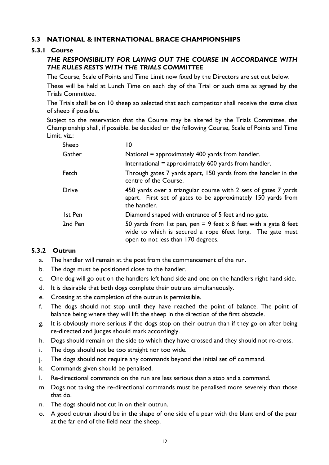#### **5.3 NATIONAL & INTERNATIONAL BRACE CHAMPIONSHIPS**

#### **5.3.1 Course**

#### *THE RESPONSIBILITY FOR LAYING OUT THE COURSE IN ACCORDANCE WITH THE RULES RESTS WITH THE TRIALS COMMITTEE*

The Course, Scale of Points and Time Limit now fixed by the Directors are set out below.

These will be held at Lunch Time on each day of the Trial or such time as agreed by the Trials Committee.

The Trials shall be on 10 sheep so selected that each competitor shall receive the same class of sheep if possible.

Subject to the reservation that the Course may be altered by the Trials Committee, the Championship shall, if possible, be decided on the following Course, Scale of Points and Time Limit, viz.:

| Sheep          | 10                                                                                                                                                                        |
|----------------|---------------------------------------------------------------------------------------------------------------------------------------------------------------------------|
| Gather         | National = approximately 400 yards from handler.                                                                                                                          |
|                | International = approximately 600 yards from handler.                                                                                                                     |
| Fetch          | Through gates 7 yards apart, 150 yards from the handler in the<br>centre of the Course.                                                                                   |
| <b>Drive</b>   | 450 yards over a triangular course with 2 sets of gates 7 yards<br>apart. First set of gates to be approximately 150 yards from<br>the handler.                           |
| <b>Ist Pen</b> | Diamond shaped with entrance of 5 feet and no gate.                                                                                                                       |
| 2nd Pen        | 50 yards from 1st pen, pen = 9 feet $\times$ 8 feet with a gate 8 feet<br>wide to which is secured a rope 6feet long. The gate must<br>open to not less than 170 degrees. |

#### **5.3.2 Outrun**

- a. The handler will remain at the post from the commencement of the run.
- b. The dogs must be positioned close to the handler.
- c. One dog will go out on the handlers left hand side and one on the handlers right hand side.
- d. It is desirable that both dogs complete their outruns simultaneously.
- e. Crossing at the completion of the outrun is permissible.
- f. The dogs should not stop until they have reached the point of balance. The point of balance being where they will lift the sheep in the direction of the first obstacle.
- g. It is obviously more serious if the dogs stop on their outrun than if they go on after being re-directed and Judges should mark accordingly.
- h. Dogs should remain on the side to which they have crossed and they should not re-cross.
- i. The dogs should not be too straight nor too wide.
- j. The dogs should not require any commands beyond the initial set off command.
- k. Commands given should be penalised.
- l. Re-directional commands on the run are less serious than a stop and a command.
- m. Dogs not taking the re-directional commands must be penalised more severely than those that do.
- n. The dogs should not cut in on their outrun.
- o. A good outrun should be in the shape of one side of a pear with the blunt end of the pear at the far end of the field near the sheep.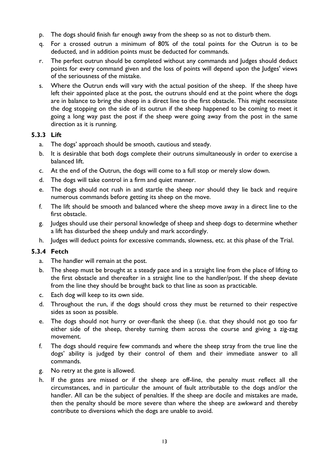- p. The dogs should finish far enough away from the sheep so as not to disturb them.
- q. For a crossed outrun a minimum of 80% of the total points for the Outrun is to be deducted, and in addition points must be deducted for commands.
- r. The perfect outrun should be completed without any commands and Judges should deduct points for every command given and the loss of points will depend upon the Judges' views of the seriousness of the mistake.
- s. Where the Outrun ends will vary with the actual position of the sheep. If the sheep have left their appointed place at the post, the outruns should end at the point where the dogs are in balance to bring the sheep in a direct line to the first obstacle. This might necessitate the dog stopping on the side of its outrun if the sheep happened to be coming to meet it going a long way past the post if the sheep were going away from the post in the same direction as it is running.

#### **5.3.3 Lift**

- a. The dogs' approach should be smooth, cautious and steady.
- b. It is desirable that both dogs complete their outruns simultaneously in order to exercise a balanced lift.
- c. At the end of the Outrun, the dogs will come to a full stop or merely slow down.
- d. The dogs will take control in a firm and quiet manner.
- e. The dogs should not rush in and startle the sheep nor should they lie back and require numerous commands before getting its sheep on the move.
- f. The lift should be smooth and balanced where the sheep move away in a direct line to the first obstacle.
- g. Judges should use their personal knowledge of sheep and sheep dogs to determine whether a lift has disturbed the sheep unduly and mark accordingly.
- h. Judges will deduct points for excessive commands, slowness, etc. at this phase of the Trial.

#### **5.3.4 Fetch**

- a. The handler will remain at the post.
- b. The sheep must be brought at a steady pace and in a straight line from the place of lifting to the first obstacle and thereafter in a straight line to the handler/post. If the sheep deviate from the line they should be brought back to that line as soon as practicable.
- c. Each dog will keep to its own side.
- d. Throughout the run, if the dogs should cross they must be returned to their respective sides as soon as possible.
- e. The dogs should not hurry or over-flank the sheep (i.e. that they should not go too far either side of the sheep, thereby turning them across the course and giving a zig-zag movement.
- f. The dogs should require few commands and where the sheep stray from the true line the dogs' ability is judged by their control of them and their immediate answer to all commands.
- g. No retry at the gate is allowed.
- h. If the gates are missed or if the sheep are off-line, the penalty must reflect all the circumstances, and in particular the amount of fault attributable to the dogs and/or the handler. All can be the subject of penalties. If the sheep are docile and mistakes are made, then the penalty should be more severe than where the sheep are awkward and thereby contribute to diversions which the dogs are unable to avoid.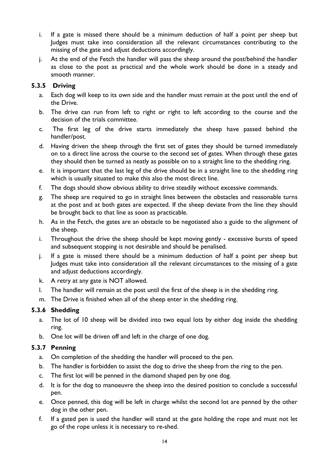- i. If a gate is missed there should be a minimum deduction of half a point per sheep but Judges must take into consideration all the relevant circumstances contributing to the missing of the gate and adjust deductions accordingly.
- j. At the end of the Fetch the handler will pass the sheep around the post/behind the handler as close to the post as practical and the whole work should be done in a steady and smooth manner.

#### **5.3.5 Driving**

- a. Each dog will keep to its own side and the handler must remain at the post until the end of the Drive.
- b. The drive can run from left to right or right to left according to the course and the decision of the trials committee.
- c. The first leg of the drive starts immediately the sheep have passed behind the handler/post.
- d. Having driven the sheep through the first set of gates they should be turned immediately on to a direct line across the course to the second set of gates. When through these gates they should then be turned as neatly as possible on to a straight line to the shedding ring.
- e. It is important that the last leg of the drive should be in a straight line to the shedding ring which is usually situated to make this also the most direct line.
- f. The dogs should show obvious ability to drive steadily without excessive commands.
- g. The sheep are required to go in straight lines between the obstacles and reasonable turns at the post and at both gates are expected. If the sheep deviate from the line they should be brought back to that line as soon as practicable.
- h. As in the Fetch, the gates are an obstacle to be negotiated also a guide to the alignment of the sheep.
- i. Throughout the drive the sheep should be kept moving gently excessive bursts of speed and subsequent stopping is not desirable and should be penalised.
- j. If a gate is missed there should be a minimum deduction of half a point per sheep but Judges must take into consideration all the relevant circumstances to the missing of a gate and adjust deductions accordingly.
- k. A retry at any gate is NOT allowed.
- l. The handler will remain at the post until the first of the sheep is in the shedding ring.
- m. The Drive is finished when all of the sheep enter in the shedding ring.

#### **5.3.6 Shedding**

- a. The lot of 10 sheep will be divided into two equal lots by either dog inside the shedding ring.
- b. One lot will be driven off and left in the charge of one dog.

#### **5.3.7 Penning**

- a. On completion of the shedding the handler will proceed to the pen.
- b. The handler is forbidden to assist the dog to drive the sheep from the ring to the pen.
- c. The first lot will be penned in the diamond shaped pen by one dog.
- d. It is for the dog to manoeuvre the sheep into the desired position to conclude a successful pen.
- e. Once penned, this dog will be left in charge whilst the second lot are penned by the other dog in the other pen.
- f. If a gated pen is used the handler will stand at the gate holding the rope and must not let go of the rope unless it is necessary to re-shed.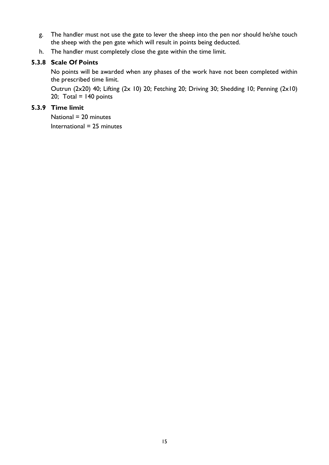- g. The handler must not use the gate to lever the sheep into the pen nor should he/she touch the sheep with the pen gate which will result in points being deducted.
- h. The handler must completely close the gate within the time limit.

#### **5.3.8 Scale Of Points**

No points will be awarded when any phases of the work have not been completed within the prescribed time limit.

Outrun (2x20) 40; Lifting (2x 10) 20; Fetching 20; Driving 30; Shedding 10; Penning (2x10) 20; Total =  $140$  points

#### **5.3.9 Time limit**

National = 20 minutes International = 25 minutes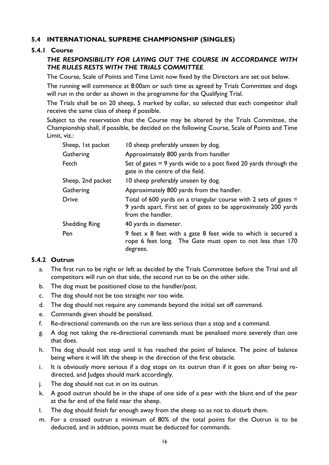#### **5.4 INTERNATIONAL SUPREME CHAMPIONSHIP (SINGLES)**

#### **5.4.1 Course**

#### *THE RESPONSIBILITY FOR LAYING OUT THE COURSE IN ACCORDANCE WITH THE RULES RESTS WITH THE TRIALS COMMITTEE*

The Course, Scale of Points and Time Limit now fixed by the Directors are set out below.

The running will commence at 8:00am or such time as agreed by Trials Committee and dogs will run in the order as shown in the programme for the Qualifying Trial.

The Trials shall be on 20 sheep, 5 marked by collar, so selected that each competitor shall receive the same class of sheep if possible.

Subject to the reservation that the Course may be altered by the Trials Committee, the Championship shall, if possible, be decided on the following Course, Scale of Points and Time Limit, viz.:

| Sheep, 1st packet    | 10 sheep preferably unseen by dog.                                                                                                                         |
|----------------------|------------------------------------------------------------------------------------------------------------------------------------------------------------|
| Gathering            | Approximately 800 yards from handler                                                                                                                       |
| Fetch                | Set of gates $= 9$ yards wide to a post fixed 20 yards through the<br>gate in the centre of the field.                                                     |
| Sheep, 2nd packet    | 10 sheep preferably unseen by dog.                                                                                                                         |
| Gathering            | Approximately 800 yards from the handler.                                                                                                                  |
| <b>Drive</b>         | Total of 600 yards on a triangular course with 2 sets of gates $=$<br>9 yards apart. First set of gates to be approximately 200 yards<br>from the handler. |
| <b>Shedding Ring</b> | 40 yards in diameter.                                                                                                                                      |
| Pen                  | 9 feet x 8 feet with a gate 8 feet wide to which is secured a<br>rope 6 feet long. The Gate must open to not less than 170<br>degrees.                     |

#### **5.4.2 Outrun**

- a. The first run to be right or left as decided by the Trials Committee before the Trial and all competitors will run on that side, the second run to be on the other side.
- b. The dog must be positioned close to the handler/post.
- c. The dog should not be too straight nor too wide.
- d. The dog should not require any commands beyond the initial set off command.
- e. Commands given should be penalised.
- f. Re-directional commands on the run are less serious than a stop and a command.
- g. A dog not taking the re-directional commands must be penalised more severely than one that does.
- h. The dog should not stop until it has reached the point of balance. The point of balance being where it will lift the sheep in the direction of the first obstacle.
- i. It is obviously more serious if a dog stops on its outrun than if it goes on after being redirected, and Judges should mark accordingly.
- j. The dog should not cut in on its outrun.
- k. A good outrun should be in the shape of one side of a pear with the blunt end of the pear at the far end of the field near the sheep.
- l. The dog should finish far enough away from the sheep so as not to disturb them.
- m. For a crossed outrun a minimum of 80% of the total points for the Outrun is to be deducted, and in addition, points must be deducted for commands.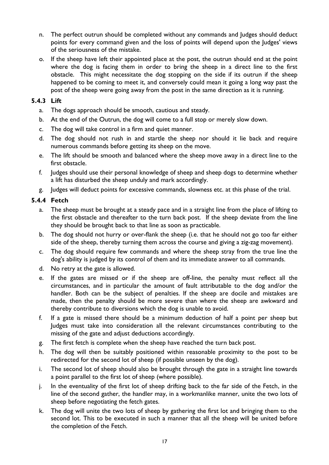- n. The perfect outrun should be completed without any commands and Judges should deduct points for every command given and the loss of points will depend upon the Judges' views of the seriousness of the mistake.
- o. If the sheep have left their appointed place at the post, the outrun should end at the point where the dog is facing them in order to bring the sheep in a direct line to the first obstacle. This might necessitate the dog stopping on the side if its outrun if the sheep happened to be coming to meet it, and conversely could mean it going a long way past the post of the sheep were going away from the post in the same direction as it is running.

#### **5.4.3 Lift**

- a. The dogs approach should be smooth, cautious and steady.
- b. At the end of the Outrun, the dog will come to a full stop or merely slow down.
- c. The dog will take control in a firm and quiet manner.
- d. The dog should not rush in and startle the sheep nor should it lie back and require numerous commands before getting its sheep on the move.
- e. The lift should be smooth and balanced where the sheep move away in a direct line to the first obstacle.
- f. Judges should use their personal knowledge of sheep and sheep dogs to determine whether a lift has disturbed the sheep unduly and mark accordingly.
- g. Judges will deduct points for excessive commands, slowness etc. at this phase of the trial.

#### **5.4.4 Fetch**

- a. The sheep must be brought at a steady pace and in a straight line from the place of lifting to the first obstacle and thereafter to the turn back post. If the sheep deviate from the line they should be brought back to that line as soon as practicable.
- b. The dog should not hurry or over-flank the sheep (i.e. that he should not go too far either side of the sheep, thereby turning them across the course and giving a zig-zag movement).
- c. The dog should require few commands and where the sheep stray from the true line the dog's ability is judged by its control of them and its immediate answer to all commands.
- d. No retry at the gate is allowed.
- e. If the gates are missed or if the sheep are off-line, the penalty must reflect all the circumstances, and in particular the amount of fault attributable to the dog and/or the handler. Both can be the subject of penalties. If the sheep are docile and mistakes are made, then the penalty should be more severe than where the sheep are awkward and thereby contribute to diversions which the dog is unable to avoid.
- f. If a gate is missed there should be a minimum deduction of half a point per sheep but Judges must take into consideration all the relevant circumstances contributing to the missing of the gate and adjust deductions accordingly.
- g. The first fetch is complete when the sheep have reached the turn back post.
- h. The dog will then be suitably positioned within reasonable proximity to the post to be redirected for the second lot of sheep (if possible unseen by the dog).
- i. The second lot of sheep should also be brought through the gate in a straight line towards a point parallel to the first lot of sheep (where possible).
- j. In the eventuality of the first lot of sheep drifting back to the far side of the Fetch, in the line of the second gather, the handler may, in a workmanlike manner, unite the two lots of sheep before negotiating the fetch gates.
- k. The dog will unite the two lots of sheep by gathering the first lot and bringing them to the second lot. This to be executed in such a manner that all the sheep will be united before the completion of the Fetch.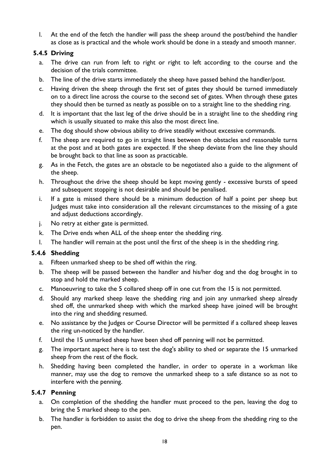l. At the end of the fetch the handler will pass the sheep around the post/behind the handler as close as is practical and the whole work should be done in a steady and smooth manner.

#### **5.4.5 Driving**

- a. The drive can run from left to right or right to left according to the course and the decision of the trials committee.
- b. The line of the drive starts immediately the sheep have passed behind the handler/post.
- c. Having driven the sheep through the first set of gates they should be turned immediately on to a direct line across the course to the second set of gates. When through these gates they should then be turned as neatly as possible on to a straight line to the shedding ring.
- d. It is important that the last leg of the drive should be in a straight line to the shedding ring which is usually situated to make this also the most direct line.
- e. The dog should show obvious ability to drive steadily without excessive commands.
- f. The sheep are required to go in straight lines between the obstacles and reasonable turns at the post and at both gates are expected. If the sheep deviate from the line they should be brought back to that line as soon as practicable.
- g. As in the Fetch, the gates are an obstacle to be negotiated also a guide to the alignment of the sheep.
- h. Throughout the drive the sheep should be kept moving gently excessive bursts of speed and subsequent stopping is not desirable and should be penalised.
- i. If a gate is missed there should be a minimum deduction of half a point per sheep but Judges must take into consideration all the relevant circumstances to the missing of a gate and adjust deductions accordingly.
- j. No retry at either gate is permitted.
- k. The Drive ends when ALL of the sheep enter the shedding ring.
- l. The handler will remain at the post until the first of the sheep is in the shedding ring.

#### **5.4.6 Shedding**

- a. Fifteen unmarked sheep to be shed off within the ring.
- b. The sheep will be passed between the handler and his/her dog and the dog brought in to stop and hold the marked sheep.
- c. Manoeuvring to take the 5 collared sheep off in one cut from the 15 is not permitted.
- d. Should any marked sheep leave the shedding ring and join any unmarked sheep already shed off, the unmarked sheep with which the marked sheep have joined will be brought into the ring and shedding resumed.
- e. No assistance by the Judges or Course Director will be permitted if a collared sheep leaves the ring un-noticed by the handler.
- f. Until the 15 unmarked sheep have been shed off penning will not be permitted.
- g. The important aspect here is to test the dog's ability to shed or separate the 15 unmarked sheep from the rest of the flock.
- h. Shedding having been completed the handler, in order to operate in a workman like manner, may use the dog to remove the unmarked sheep to a safe distance so as not to interfere with the penning.

#### **5.4.7 Penning**

- a. On completion of the shedding the handler must proceed to the pen, leaving the dog to bring the 5 marked sheep to the pen.
- b. The handler is forbidden to assist the dog to drive the sheep from the shedding ring to the pen.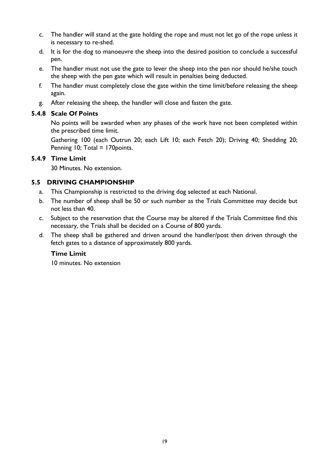- c. The handler will stand at the gate holding the rope and must not let go of the rope unless it is necessary to re-shed.
- d. It is for the dog to manoeuvre the sheep into the desired position to conclude a successful pen.
- e. The handler must not use the gate to lever the sheep into the pen nor should he/she touch the sheep with the pen gate which will result in penalties being deducted.
- f. The handler must completely close the gate within the time limit/before releasing the sheep again.
- g. After releasing the sheep, the handler will close and fasten the gate.

#### **5.4.8 Scale Of Points**

No points will be awarded when any phases of the work have not been completed within the prescribed time limit.

Gathering 100 (each Outrun 20; each Lift 10; each Fetch 20); Driving 40; Shedding 20; Penning 10; Total = 170 points.

#### **5.4.9 Time Limit**

30 Minutes. No extension.

#### **5.5 DRIVING CHAMPIONSHIP**

- a. This Championship is restricted to the driving dog selected at each National.
- b. The number of sheep shall be 50 or such number as the Trials Committee may decide but not less than 40.
- c. Subject to the reservation that the Course may be altered if the Trials Committee find this necessary, the Trials shall be decided on a Course of 800 yards.
- d. The sheep shall be gathered and driven around the handler/post then driven through the fetch gates to a distance of approximately 800 yards.

#### **Time Limit**

10 minutes. No extension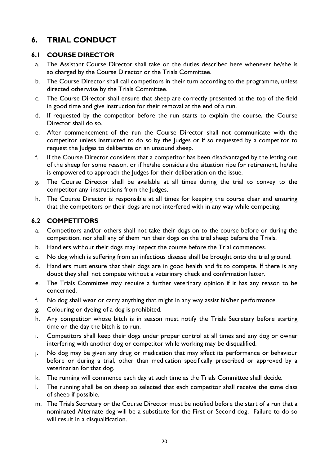# **6. TRIAL CONDUCT**

#### **6.1 COURSE DIRECTOR**

- a. The Assistant Course Director shall take on the duties described here whenever he/she is so charged by the Course Director or the Trials Committee.
- b. The Course Director shall call competitors in their turn according to the programme, unless directed otherwise by the Trials Committee.
- c. The Course Director shall ensure that sheep are correctly presented at the top of the field in good time and give instruction for their removal at the end of a run.
- d. If requested by the competitor before the run starts to explain the course, the Course Director shall do so.
- e. After commencement of the run the Course Director shall not communicate with the competitor unless instructed to do so by the Judges or if so requested by a competitor to request the Judges to deliberate on an unsound sheep.
- f. If the Course Director considers that a competitor has been disadvantaged by the letting out of the sheep for some reason, or if he/she considers the situation ripe for retirement, he/she is empowered to approach the Judges for their deliberation on the issue.
- g. The Course Director shall be available at all times during the trial to convey to the competitor any instructions from the Judges.
- h. The Course Director is responsible at all times for keeping the course clear and ensuring that the competitors or their dogs are not interfered with in any way while competing.

#### **6.2 COMPETITORS**

- a. Competitors and/or others shall not take their dogs on to the course before or during the competition, nor shall any of them run their dogs on the trial sheep before the Trials.
- b. Handlers without their dogs may inspect the course before the Trial commences.
- c. No dog which is suffering from an infectious disease shall be brought onto the trial ground.
- d. Handlers must ensure that their dogs are in good health and fit to compete. If there is any doubt they shall not compete without a veterinary check and confirmation letter.
- e. The Trials Committee may require a further veterinary opinion if it has any reason to be concerned.
- f. No dog shall wear or carry anything that might in any way assist his/her performance.
- g. Colouring or dyeing of a dog is prohibited.
- h. Any competitor whose bitch is in season must notify the Trials Secretary before starting time on the day the bitch is to run.
- i. Competitors shall keep their dogs under proper control at all times and any dog or owner interfering with another dog or competitor while working may be disqualified.
- j. No dog may be given any drug or medication that may affect its performance or behaviour before or during a trial, other than medication specifically prescribed or approved by a veterinarian for that dog.
- k. The running will commence each day at such time as the Trials Committee shall decide.
- l. The running shall be on sheep so selected that each competitor shall receive the same class of sheep if possible.
- m. The Trials Secretary or the Course Director must be notified before the start of a run that a nominated Alternate dog will be a substitute for the First or Second dog. Failure to do so will result in a disqualification.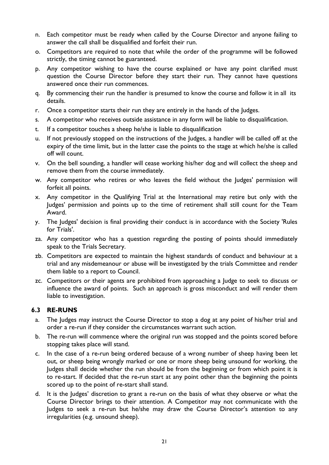- n. Each competitor must be ready when called by the Course Director and anyone failing to answer the call shall be disqualified and forfeit their run.
- o. Competitors are required to note that while the order of the programme will be followed strictly, the timing cannot be guaranteed.
- p. Any competitor wishing to have the course explained or have any point clarified must question the Course Director before they start their run. They cannot have questions answered once their run commences.
- q. By commencing their run the handler is presumed to know the course and follow it in all its details.
- r. Once a competitor starts their run they are entirely in the hands of the Judges.
- s. A competitor who receives outside assistance in any form will be liable to disqualification.
- t. If a competitor touches a sheep he/she is liable to disqualification
- u. If not previously stopped on the instructions of the Judges, a handler will be called off at the expiry of the time limit, but in the latter case the points to the stage at which he/she is called off will count.
- v. On the bell sounding, a handler will cease working his/her dog and will collect the sheep and remove them from the course immediately.
- w. Any competitor who retires or who leaves the field without the Judges' permission will forfeit all points.
- x. Any competitor in the Qualifying Trial at the International may retire but only with the Judges' permission and points up to the time of retirement shall still count for the Team Award.
- y. The Judges' decision is final providing their conduct is in accordance with the Society 'Rules for Trials'.
- za. Any competitor who has a question regarding the posting of points should immediately speak to the Trials Secretary.
- zb. Competitors are expected to maintain the highest standards of conduct and behaviour at a trial and any misdemeanour or abuse will be investigated by the trials Committee and render them liable to a report to Council.
- zc. Competitors or their agents are prohibited from approaching a Judge to seek to discuss or influence the award of points. Such an approach is gross misconduct and will render them liable to investigation.

#### **6.3 RE-RUNS**

- a. The Judges may instruct the Course Director to stop a dog at any point of his/her trial and order a re-run if they consider the circumstances warrant such action.
- b. The re-run will commence where the original run was stopped and the points scored before stopping takes place will stand.
- c. In the case of a re-run being ordered because of a wrong number of sheep having been let out, or sheep being wrongly marked or one or more sheep being unsound for working, the Judges shall decide whether the run should be from the beginning or from which point it is to re-start. If decided that the re-run start at any point other than the beginning the points scored up to the point of re-start shall stand.
- d. It is the Judges' discretion to grant a re-run on the basis of what they observe or what the Course Director brings to their attention. A Competitor may not communicate with the Judges to seek a re-run but he/she may draw the Course Director's attention to any irregularities (e.g. unsound sheep).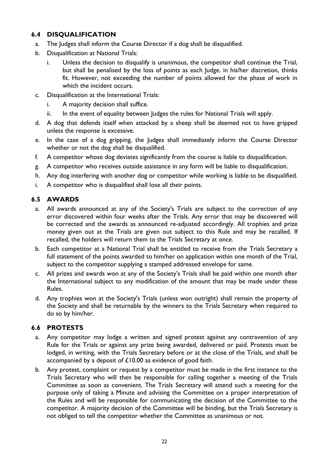#### **6.4 DISQUALIFICATION**

- a. The Judges shall inform the Course Director if a dog shall be disqualified.
- b. Disqualification at National Trials:
	- i. Unless the decision to disqualify is unanimous, the competitor shall continue the Trial, but shall be penalised by the loss of points as each Judge, in his/her discretion, thinks fit. However, not exceeding the number of points allowed for the phase of work in which the incident occurs.
- c. Disqualification at the International Trials:
	- i. A majority decision shall suffice.
	- ii. In the event of equality between Judges the rules for National Trials will apply.
- d. A dog that defends itself when attacked by a sheep shall be deemed not to have gripped unless the response is excessive.
- e. In the case of a dog gripping, the Judges shall immediately inform the Course Director whether or not the dog shall be disqualified.
- f. A competitor whose dog deviates significantly from the course is liable to disqualification.
- g. A competitor who receives outside assistance in any form will be liable to disqualification.
- h. Any dog interfering with another dog or competitor while working is liable to be disqualified.
- i. A competitor who is disqualified shall lose all their points.

#### **6.5 AWARDS**

- a. All awards announced at any of the Society's Trials are subject to the correction of any error discovered within four weeks after the Trials. Any error that may be discovered will be corrected and the awards as announced re-adjusted accordingly. All trophies and prize money given out at the Trials are given out subject to this Rule and may be recalled. If recalled, the holders will return them to the Trials Secretary at once.
- b. Each competitor at a National Trial shall be entitled to receive from the Trials Secretary a full statement of the points awarded to him/her on application within one month of the Trial, subject to the competitor supplying a stamped addressed envelope for same.
- c. All prizes and awards won at any of the Society's Trials shall be paid within one month after the International subject to any modification of the amount that may be made under these Rules.
- d. Any trophies won at the Society's Trials (unless won outright) shall remain the property of the Society and shall be returnable by the winners to the Trials Secretary when required to do so by him/her.

#### **6.6 PROTESTS**

- a. Any competitor may lodge a written and signed protest against any contravention of any Rule for the Trials or against any prize being awarded, delivered or paid. Protests must be lodged, in writing, with the Trials Secretary before or at the close of the Trials, and shall be accompanied by a deposit of £10.00 as evidence of good faith.
- b. Any protest, complaint or request by a competitor must be made in the first instance to the Trials Secretary who will then be responsible for calling together a meeting of the Trials Committee as soon as convenient. The Trials Secretary will attend such a meeting for the purpose only of taking a Minute and advising the Committee on a proper interpretation of the Rules and will be responsible for communicating the decision of the Committee to the competitor. A majority decision of the Committee will be binding, but the Trials Secretary is not obliged to tell the competitor whether the Committee as unanimous or not.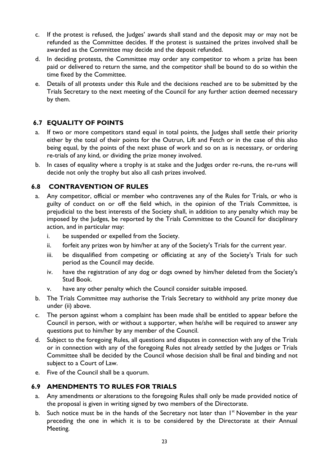- c. If the protest is refused, the Judges' awards shall stand and the deposit may or may not be refunded as the Committee decides. If the protest is sustained the prizes involved shall be awarded as the Committee may decide and the deposit refunded.
- d. In deciding protests, the Committee may order any competitor to whom a prize has been paid or delivered to return the same, and the competitor shall be bound to do so within the time fixed by the Committee.
- e. Details of all protests under this Rule and the decisions reached are to be submitted by the Trials Secretary to the next meeting of the Council for any further action deemed necessary by them.

# **6.7 EQUALITY OF POINTS**

- a. If two or more competitors stand equal in total points, the Judges shall settle their priority either by the total of their points for the Outrun, Lift and Fetch or in the case of this also being equal, by the points of the next phase of work and so on as is necessary, or ordering re-trials of any kind, or dividing the prize money involved.
- b. In cases of equality where a trophy is at stake and the Judges order re-runs, the re-runs will decide not only the trophy but also all cash prizes involved.

#### **6.8 CONTRAVENTION OF RULES**

- a. Any competitor, official or member who contravenes any of the Rules for Trials, or who is guilty of conduct on or off the field which, in the opinion of the Trials Committee, is prejudicial to the best interests of the Society shall, in addition to any penalty which may be imposed by the Judges, be reported by the Trials Committee to the Council for disciplinary action, and in particular may:
	- i. be suspended or expelled from the Society.
	- ii. forfeit any prizes won by him/her at any of the Society's Trials for the current year.
	- iii. be disqualified from competing or officiating at any of the Society's Trials for such period as the Council may decide.
	- iv. have the registration of any dog or dogs owned by him/her deleted from the Society's Stud Book.
	- v. have any other penalty which the Council consider suitable imposed.
- b. The Trials Committee may authorise the Trials Secretary to withhold any prize money due under (ii) above.
- c. The person against whom a complaint has been made shall be entitled to appear before the Council in person, with or without a supporter, when he/she will be required to answer any questions put to him/her by any member of the Council.
- d. Subject to the foregoing Rules, all questions and disputes in connection with any of the Trials or in connection with any of the foregoing Rules not already settled by the Judges or Trials Committee shall be decided by the Council whose decision shall be final and binding and not subject to a Court of Law.
- e. Five of the Council shall be a quorum.

#### **6.9 AMENDMENTS TO RULES FOR TRIALS**

- a. Any amendments or alterations to the foregoing Rules shall only be made provided notice of the proposal is given in writing signed by two members of the Directorate.
- b. Such notice must be in the hands of the Secretary not later than  $I<sup>st</sup>$  November in the year preceding the one in which it is to be considered by the Directorate at their Annual Meeting.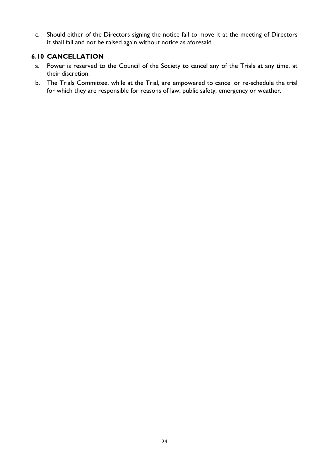c. Should either of the Directors signing the notice fail to move it at the meeting of Directors it shall fall and not be raised again without notice as aforesaid.

#### **6.10 CANCELLATION**

- a. Power is reserved to the Council of the Society to cancel any of the Trials at any time, at their discretion.
- b. The Trials Committee, while at the Trial, are empowered to cancel or re-schedule the trial for which they are responsible for reasons of law, public safety, emergency or weather.